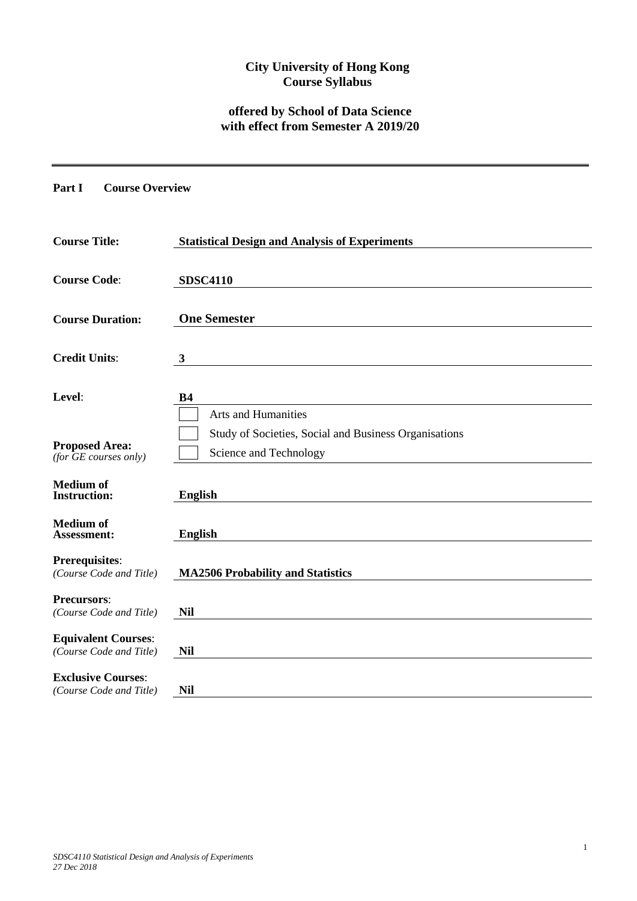## **City University of Hong Kong Course Syllabus**

# **offered by School of Data Science with effect from Semester A 2019/20**

### **Part I Course Overview**

| <b>Course Title:</b>                                  | <b>Statistical Design and Analysis of Experiments</b>                           |
|-------------------------------------------------------|---------------------------------------------------------------------------------|
| <b>Course Code:</b>                                   | <b>SDSC4110</b>                                                                 |
| <b>Course Duration:</b>                               | <b>One Semester</b>                                                             |
| <b>Credit Units:</b>                                  | $\mathbf{3}$                                                                    |
| Level:                                                | <b>B4</b><br><b>Arts and Humanities</b>                                         |
| <b>Proposed Area:</b><br>(for $GE$ courses only)      | Study of Societies, Social and Business Organisations<br>Science and Technology |
| <b>Medium of</b><br><b>Instruction:</b>               | <b>English</b>                                                                  |
| <b>Medium of</b><br><b>Assessment:</b>                | <b>English</b>                                                                  |
| <b>Prerequisites:</b><br>(Course Code and Title)      | <b>MA2506 Probability and Statistics</b>                                        |
| <b>Precursors:</b><br>(Course Code and Title)         | <b>Nil</b>                                                                      |
| <b>Equivalent Courses:</b><br>(Course Code and Title) | <b>Nil</b>                                                                      |
| <b>Exclusive Courses:</b><br>(Course Code and Title)  | <b>Nil</b>                                                                      |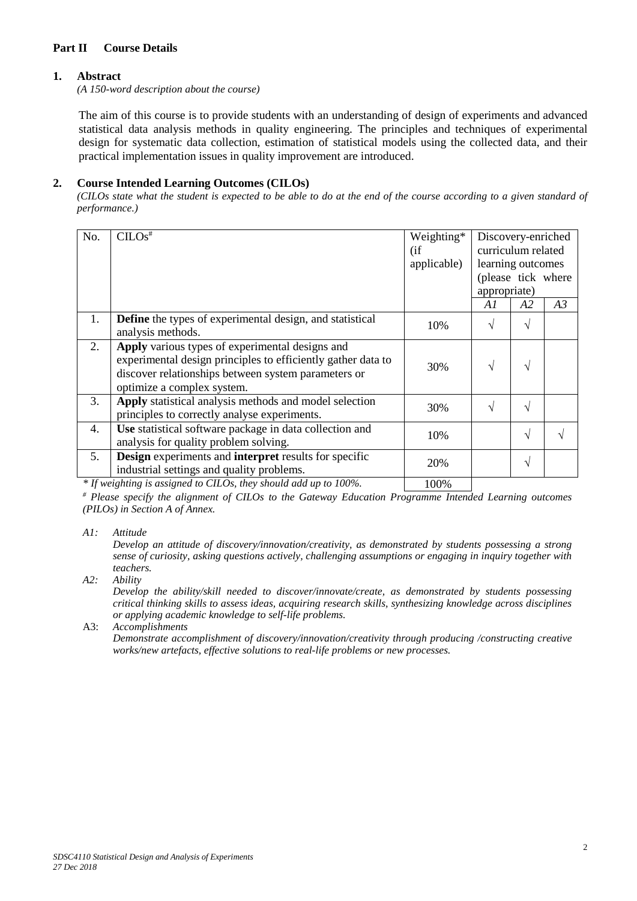## **Part II Course Details**

#### **1. Abstract**

*(A 150-word description about the course)*

The aim of this course is to provide students with an understanding of design of experiments and advanced statistical data analysis methods in quality engineering. The principles and techniques of experimental design for systematic data collection, estimation of statistical models using the collected data, and their practical implementation issues in quality improvement are introduced.

#### **2. Course Intended Learning Outcomes (CILOs)**

*(CILOs state what the student is expected to be able to do at the end of the course according to a given standard of performance.)*

| No. | $CLOS$ <sup>#</sup>                                                                                                                                                                                  | Weighting*<br>(i f)<br>applicable) | Discovery-enriched<br>curriculum related<br>learning outcomes<br>(please tick where<br>appropriate) |            |    |
|-----|------------------------------------------------------------------------------------------------------------------------------------------------------------------------------------------------------|------------------------------------|-----------------------------------------------------------------------------------------------------|------------|----|
|     |                                                                                                                                                                                                      |                                    | A1                                                                                                  | A2         | A3 |
| 1.  | Define the types of experimental design, and statistical<br>analysis methods.                                                                                                                        | 10%                                | $\sqrt{}$                                                                                           | $\sqrt{ }$ |    |
| 2.  | Apply various types of experimental designs and<br>experimental design principles to efficiently gather data to<br>discover relationships between system parameters or<br>optimize a complex system. | 30%                                | $\mathcal{N}$                                                                                       | $\sqrt{ }$ |    |
| 3.  | Apply statistical analysis methods and model selection<br>principles to correctly analyse experiments.                                                                                               | 30%                                | $\mathbf{A}$                                                                                        | V          |    |
| 4.  | Use statistical software package in data collection and<br>analysis for quality problem solving.                                                                                                     | 10%                                |                                                                                                     | $\sqrt{ }$ |    |
| 5.  | <b>Design</b> experiments and <b>interpret</b> results for specific<br>industrial settings and quality problems.                                                                                     | 20%                                |                                                                                                     | $\sqrt{ }$ |    |
|     |                                                                                                                                                                                                      |                                    |                                                                                                     |            |    |

*\* If weighting is assigned to CILOs, they should add up to 100%.* 100%

*# Please specify the alignment of CILOs to the Gateway Education Programme Intended Learning outcomes (PILOs) in Section A of Annex.* 

*A1: Attitude* 

*Develop an attitude of discovery/innovation/creativity, as demonstrated by students possessing a strong sense of curiosity, asking questions actively, challenging assumptions or engaging in inquiry together with teachers.*

*A2: Ability*

*Develop the ability/skill needed to discover/innovate/create, as demonstrated by students possessing critical thinking skills to assess ideas, acquiring research skills, synthesizing knowledge across disciplines or applying academic knowledge to self-life problems.*

A3: *Accomplishments*

*Demonstrate accomplishment of discovery/innovation/creativity through producing /constructing creative works/new artefacts, effective solutions to real-life problems or new processes.*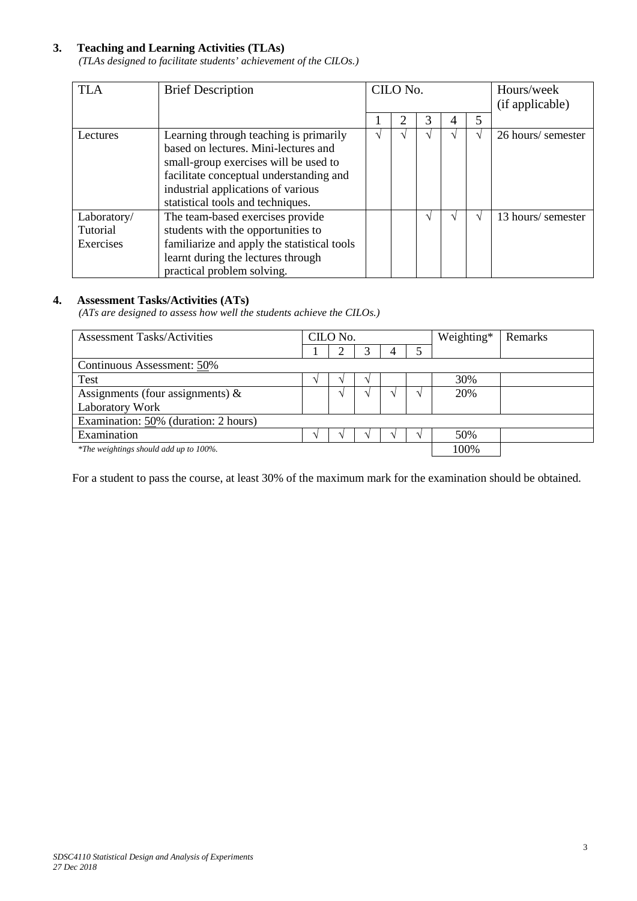## **3. Teaching and Learning Activities (TLAs)**

*(TLAs designed to facilitate students' achievement of the CILOs.)*

| <b>TLA</b>  | <b>Brief Description</b>                    | CILO No. |  |  |  | Hours/week<br>(if applicable) |                    |
|-------------|---------------------------------------------|----------|--|--|--|-------------------------------|--------------------|
|             |                                             |          |  |  |  | 5                             |                    |
| Lectures    | Learning through teaching is primarily      |          |  |  |  |                               | 26 hours/ semester |
|             | based on lectures. Mini-lectures and        |          |  |  |  |                               |                    |
|             | small-group exercises will be used to       |          |  |  |  |                               |                    |
|             | facilitate conceptual understanding and     |          |  |  |  |                               |                    |
|             | industrial applications of various          |          |  |  |  |                               |                    |
|             | statistical tools and techniques.           |          |  |  |  |                               |                    |
| Laboratory/ | The team-based exercises provide            |          |  |  |  |                               | 13 hours/ semester |
| Tutorial    | students with the opportunities to          |          |  |  |  |                               |                    |
| Exercises   | familiarize and apply the statistical tools |          |  |  |  |                               |                    |
|             | learnt during the lectures through          |          |  |  |  |                               |                    |
|             | practical problem solving.                  |          |  |  |  |                               |                    |

#### **4. Assessment Tasks/Activities (ATs)**

*(ATs are designed to assess how well the students achieve the CILOs.)*

| <b>Assessment Tasks/Activities</b>      | CILO No. |  |      |  | Weighting* | Remarks |  |
|-----------------------------------------|----------|--|------|--|------------|---------|--|
|                                         |          |  |      |  |            |         |  |
| Continuous Assessment: 50%              |          |  |      |  |            |         |  |
| Test                                    |          |  |      |  |            | 30%     |  |
| Assignments (four assignments) $\&$     |          |  |      |  |            | 20%     |  |
| Laboratory Work                         |          |  |      |  |            |         |  |
| Examination: $50\%$ (duration: 2 hours) |          |  |      |  |            |         |  |
| Examination                             |          |  |      |  |            | 50%     |  |
| *The weightings should add up to 100%.  |          |  | 100% |  |            |         |  |

For a student to pass the course, at least 30% of the maximum mark for the examination should be obtained.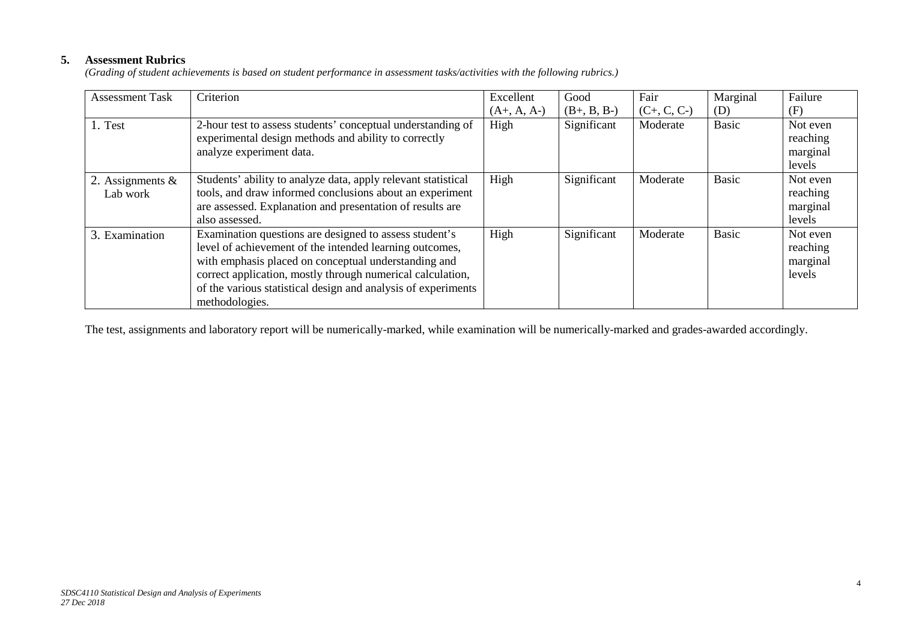## **5. Assessment Rubrics**

*(Grading of student achievements is based on student performance in assessment tasks/activities with the following rubrics.)*

| <b>Assessment Task</b> | Criterion                                                     | Excellent     | Good          | Fair          | Marginal     | Failure  |
|------------------------|---------------------------------------------------------------|---------------|---------------|---------------|--------------|----------|
|                        |                                                               | $(A+, A, A-)$ | $(B+, B, B-)$ | $(C+, C, C-)$ | (D)          | (F)      |
| 1. Test                | 2-hour test to assess students' conceptual understanding of   | High          | Significant   | Moderate      | <b>Basic</b> | Not even |
|                        | experimental design methods and ability to correctly          |               |               |               |              | reaching |
|                        | analyze experiment data.                                      |               |               |               |              | marginal |
|                        |                                                               |               |               |               |              | levels   |
| 2. Assignments $\&$    | Students' ability to analyze data, apply relevant statistical | High          | Significant   | Moderate      | <b>Basic</b> | Not even |
| Lab work               | tools, and draw informed conclusions about an experiment      |               |               |               |              | reaching |
|                        | are assessed. Explanation and presentation of results are     |               |               |               |              | marginal |
|                        | also assessed.                                                |               |               |               |              | levels   |
| 3. Examination         | Examination questions are designed to assess student's        | High          | Significant   | Moderate      | <b>Basic</b> | Not even |
|                        | level of achievement of the intended learning outcomes,       |               |               |               |              | reaching |
|                        | with emphasis placed on conceptual understanding and          |               |               |               |              | marginal |
|                        | correct application, mostly through numerical calculation,    |               |               |               |              | levels   |
|                        | of the various statistical design and analysis of experiments |               |               |               |              |          |
|                        | methodologies.                                                |               |               |               |              |          |

The test, assignments and laboratory report will be numerically-marked, while examination will be numerically-marked and grades-awarded accordingly.